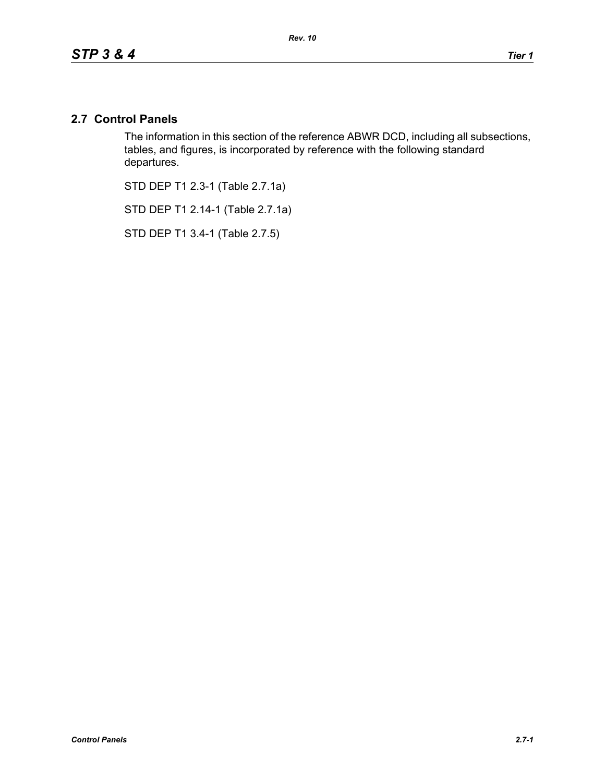## **2.7 Control Panels**

The information in this section of the reference ABWR DCD, including all subsections, tables, and figures, is incorporated by reference with the following standard departures.

STD DEP T1 2.3-1 (Table 2.7.1a)

STD DEP T1 2.14-1 (Table 2.7.1a)

STD DEP T1 3.4-1 (Table 2.7.5)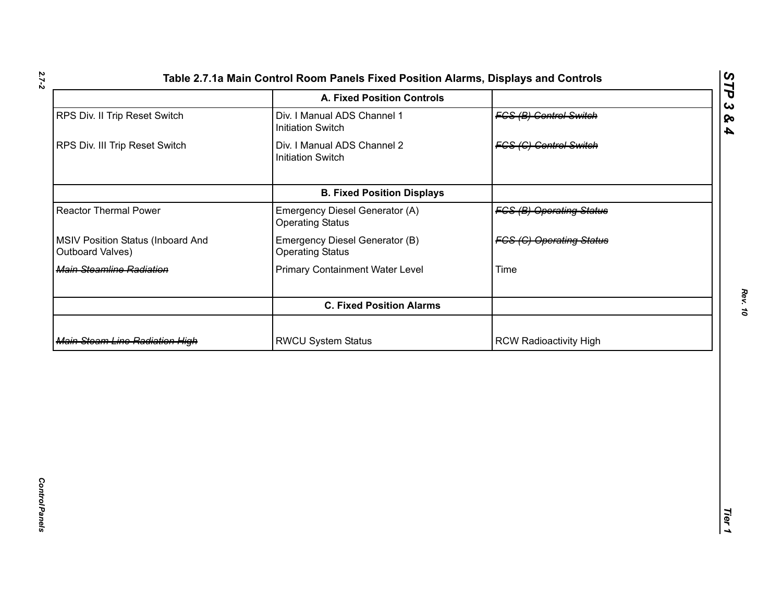| RPS Div. II Trip Reset Switch                         |                                                           |                                 |  |
|-------------------------------------------------------|-----------------------------------------------------------|---------------------------------|--|
|                                                       | Div. I Manual ADS Channel 1<br><b>Initiation Switch</b>   | <b>FGS (B) Control Switch</b>   |  |
| RPS Div. III Trip Reset Switch                        | Div. I Manual ADS Channel 2<br><b>Initiation Switch</b>   | <b>FGS (C) Control Switch</b>   |  |
|                                                       | <b>B. Fixed Position Displays</b>                         |                                 |  |
| <b>Reactor Thermal Power</b>                          | Emergency Diesel Generator (A)<br><b>Operating Status</b> | <b>FCS (B) Operating Status</b> |  |
| MSIV Position Status (Inboard And<br>Outboard Valves) | Emergency Diesel Generator (B)<br><b>Operating Status</b> | <b>FCS (C) Operating Status</b> |  |
| Main Steamline Radiation                              | <b>Primary Containment Water Level</b>                    | Time                            |  |
|                                                       | <b>C. Fixed Position Alarms</b>                           |                                 |  |
| <b>Main Steam Line Radiation High</b>                 | <b>RWCU System Status</b>                                 | <b>RCW Radioactivity High</b>   |  |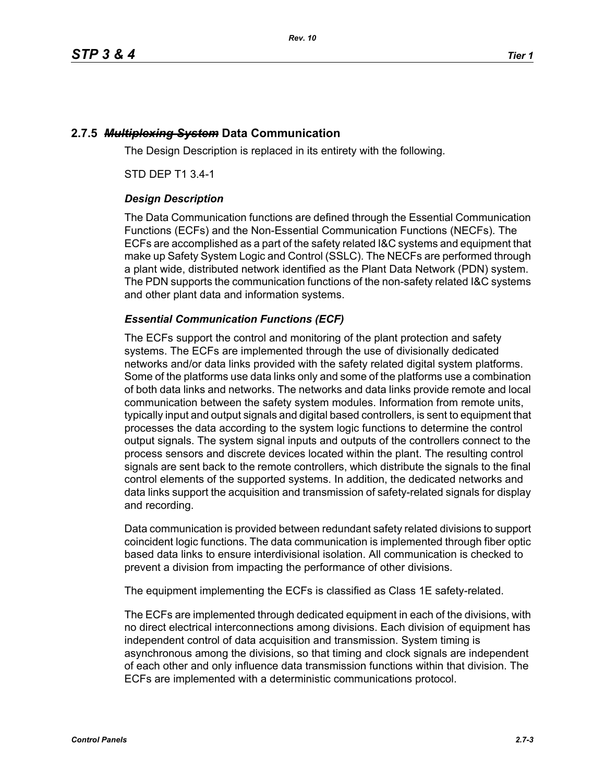# **2.7.5** *Multiplexing System* **Data Communication**

The Design Description is replaced in its entirety with the following.

STD DEP T1 3.4-1

## *Design Description*

The Data Communication functions are defined through the Essential Communication Functions (ECFs) and the Non-Essential Communication Functions (NECFs). The ECFs are accomplished as a part of the safety related I&C systems and equipment that make up Safety System Logic and Control (SSLC). The NECFs are performed through a plant wide, distributed network identified as the Plant Data Network (PDN) system. The PDN supports the communication functions of the non-safety related I&C systems and other plant data and information systems.

## *Essential Communication Functions (ECF)*

The ECFs support the control and monitoring of the plant protection and safety systems. The ECFs are implemented through the use of divisionally dedicated networks and/or data links provided with the safety related digital system platforms. Some of the platforms use data links only and some of the platforms use a combination of both data links and networks. The networks and data links provide remote and local communication between the safety system modules. Information from remote units, typically input and output signals and digital based controllers, is sent to equipment that processes the data according to the system logic functions to determine the control output signals. The system signal inputs and outputs of the controllers connect to the process sensors and discrete devices located within the plant. The resulting control signals are sent back to the remote controllers, which distribute the signals to the final control elements of the supported systems. In addition, the dedicated networks and data links support the acquisition and transmission of safety-related signals for display and recording.

Data communication is provided between redundant safety related divisions to support coincident logic functions. The data communication is implemented through fiber optic based data links to ensure interdivisional isolation. All communication is checked to prevent a division from impacting the performance of other divisions.

The equipment implementing the ECFs is classified as Class 1E safety-related.

The ECFs are implemented through dedicated equipment in each of the divisions, with no direct electrical interconnections among divisions. Each division of equipment has independent control of data acquisition and transmission. System timing is asynchronous among the divisions, so that timing and clock signals are independent of each other and only influence data transmission functions within that division. The ECFs are implemented with a deterministic communications protocol.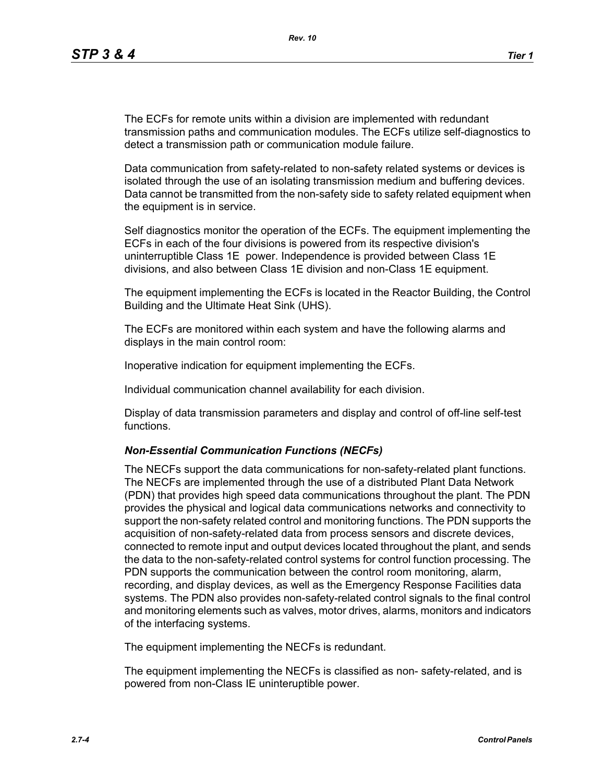The ECFs for remote units within a division are implemented with redundant transmission paths and communication modules. The ECFs utilize self-diagnostics to detect a transmission path or communication module failure.

Data communication from safety-related to non-safety related systems or devices is isolated through the use of an isolating transmission medium and buffering devices. Data cannot be transmitted from the non-safety side to safety related equipment when the equipment is in service.

Self diagnostics monitor the operation of the ECFs. The equipment implementing the ECFs in each of the four divisions is powered from its respective division's uninterruptible Class 1E power. Independence is provided between Class 1E divisions, and also between Class 1E division and non-Class 1E equipment.

The equipment implementing the ECFs is located in the Reactor Building, the Control Building and the Ultimate Heat Sink (UHS).

The ECFs are monitored within each system and have the following alarms and displays in the main control room:

Inoperative indication for equipment implementing the ECFs.

Individual communication channel availability for each division.

Display of data transmission parameters and display and control of off-line self-test functions.

### *Non-Essential Communication Functions (NECFs)*

The NECFs support the data communications for non-safety-related plant functions. The NECFs are implemented through the use of a distributed Plant Data Network (PDN) that provides high speed data communications throughout the plant. The PDN provides the physical and logical data communications networks and connectivity to support the non-safety related control and monitoring functions. The PDN supports the acquisition of non-safety-related data from process sensors and discrete devices, connected to remote input and output devices located throughout the plant, and sends the data to the non-safety-related control systems for control function processing. The PDN supports the communication between the control room monitoring, alarm, recording, and display devices, as well as the Emergency Response Facilities data systems. The PDN also provides non-safety-related control signals to the final control and monitoring elements such as valves, motor drives, alarms, monitors and indicators of the interfacing systems.

The equipment implementing the NECFs is redundant.

The equipment implementing the NECFs is classified as non- safety-related, and is powered from non-Class IE uninteruptible power.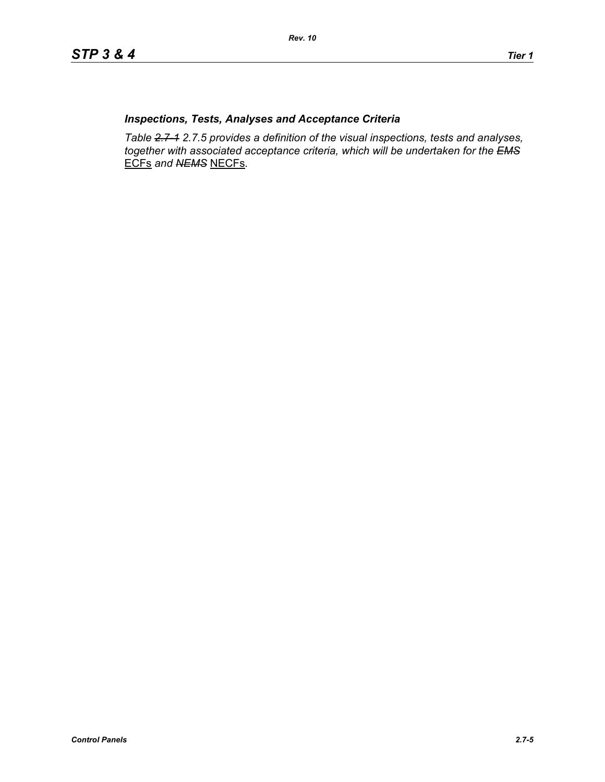## *Inspections, Tests, Analyses and Acceptance Criteria*

*Table 2.7-1 2.7.5 provides a definition of the visual inspections, tests and analyses, together with associated acceptance criteria, which will be undertaken for the EMS* ECFs *and NEMS* NECFs*.*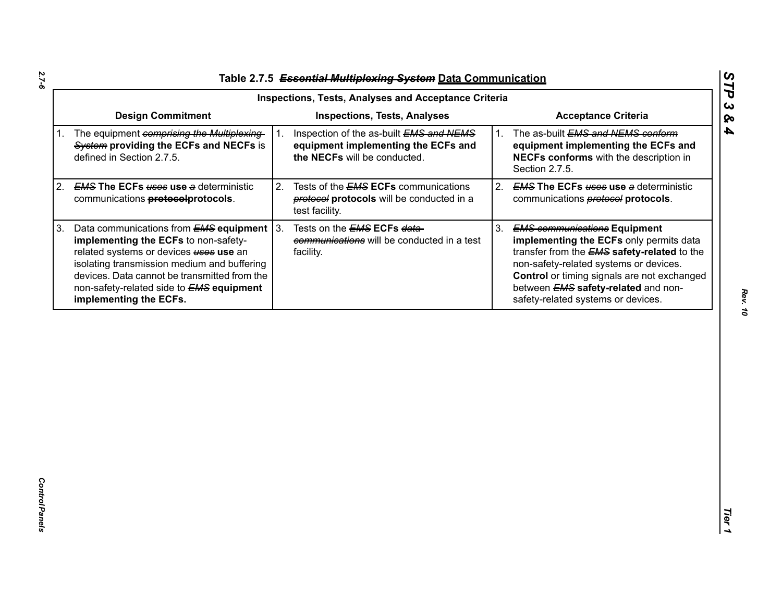| Table 2.7.5 Essential Multiplexing System Data Communication |
|--------------------------------------------------------------|
|                                                              |

|             | <b>Inspections, Tests, Analyses and Acceptance Criteria</b>                                                                                                                                                                                                                                                   |    |                                                                                                                |    |                                                                                                                                                                                                                                                                                                                   |  |
|-------------|---------------------------------------------------------------------------------------------------------------------------------------------------------------------------------------------------------------------------------------------------------------------------------------------------------------|----|----------------------------------------------------------------------------------------------------------------|----|-------------------------------------------------------------------------------------------------------------------------------------------------------------------------------------------------------------------------------------------------------------------------------------------------------------------|--|
|             | <b>Design Commitment</b>                                                                                                                                                                                                                                                                                      |    | <b>Inspections, Tests, Analyses</b>                                                                            |    | <b>Acceptance Criteria</b>                                                                                                                                                                                                                                                                                        |  |
| $1_{\cdot}$ | The equipment comprising the Multiplexing-<br>System providing the ECFs and NECFs is<br>defined in Section 2.7.5.                                                                                                                                                                                             |    | Inspection of the as-built EMS and NEMS<br>equipment implementing the ECFs and<br>the NECFs will be conducted. | 1. | The as-built EMS and NEMS conform<br>equipment implementing the ECFs and<br>NECFs conforms with the description in<br>Section 2.7.5.                                                                                                                                                                              |  |
| 2.          | <b>EMS The ECFs uses use a deterministic</b><br>communications <b>protocolprotocols</b> .                                                                                                                                                                                                                     | 2. | Tests of the <b>EMS ECFs</b> communications<br>protocols will be conducted in a<br>test facility.              | 2. | <b>EMS The ECFs uses use a deterministic</b><br>communications <b>protocol</b> protocols.                                                                                                                                                                                                                         |  |
| 3.          | Data communications from $EMS$ equipment $ 3$ .<br>implementing the ECFs to non-safety-<br>related systems or devices uses use an<br>isolating transmission medium and buffering<br>devices. Data cannot be transmitted from the<br>non-safety-related side to <b>EMS equipment</b><br>implementing the ECFs. |    | Tests on the <b>EMS ECFs data-</b><br>communications will be conducted in a test<br>facility.                  | 3. | <b>EMS communications Equipment</b><br>implementing the ECFs only permits data<br>transfer from the <b>EMS</b> safety-related to the<br>non-safety-related systems or devices.<br>Control or timing signals are not exchanged<br>between <b>EMS</b> safety-related and non-<br>safety-related systems or devices. |  |
|             |                                                                                                                                                                                                                                                                                                               |    |                                                                                                                |    |                                                                                                                                                                                                                                                                                                                   |  |
|             |                                                                                                                                                                                                                                                                                                               |    |                                                                                                                |    |                                                                                                                                                                                                                                                                                                                   |  |

*STP 3 & 4*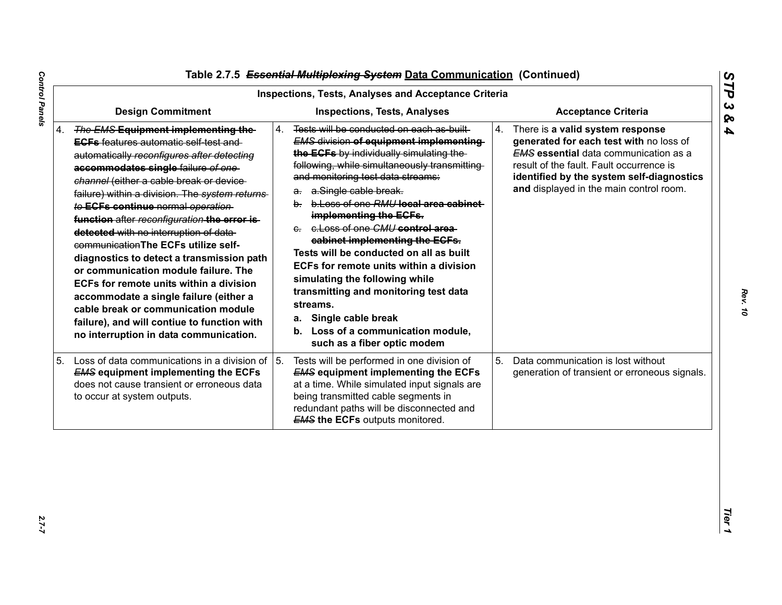|                                                                                                                                                                                                                                                                                                                                                                                                                                                                                                                                                                                                                                                                                                                                                            | <b>Inspections, Tests, Analyses and Acceptance Criteria</b>                                                                                                                                                                                                                                                                                                                                                                                                                                                                                                                                                                                                                             |                                                                                                                                                                                                                                                                       |
|------------------------------------------------------------------------------------------------------------------------------------------------------------------------------------------------------------------------------------------------------------------------------------------------------------------------------------------------------------------------------------------------------------------------------------------------------------------------------------------------------------------------------------------------------------------------------------------------------------------------------------------------------------------------------------------------------------------------------------------------------------|-----------------------------------------------------------------------------------------------------------------------------------------------------------------------------------------------------------------------------------------------------------------------------------------------------------------------------------------------------------------------------------------------------------------------------------------------------------------------------------------------------------------------------------------------------------------------------------------------------------------------------------------------------------------------------------------|-----------------------------------------------------------------------------------------------------------------------------------------------------------------------------------------------------------------------------------------------------------------------|
| <b>Design Commitment</b>                                                                                                                                                                                                                                                                                                                                                                                                                                                                                                                                                                                                                                                                                                                                   | <b>Inspections, Tests, Analyses</b>                                                                                                                                                                                                                                                                                                                                                                                                                                                                                                                                                                                                                                                     | <b>Acceptance Criteria</b>                                                                                                                                                                                                                                            |
| 4. The EMS Equipment implementing the-<br><b>EGFs</b> features automatic self test and<br>automatically reconfigures after detecting<br>accommodates single failure of one-<br>channel (either a cable break or device-<br>failure) within a division. The system returns<br>to ECFs continue normal operation<br>function after reconfiguration the error is-<br>detected with no interruption of data-<br>communication The ECFs utilize self-<br>diagnostics to detect a transmission path<br>or communication module failure. The<br>ECFs for remote units within a division<br>accommodate a single failure (either a<br>cable break or communication module<br>failure), and will contiue to function with<br>no interruption in data communication. | Tests will be conducted on each as built<br>4.<br><b>EMS division of equipment implementing</b><br>the ECFs by individually simulating the<br>following, while simultaneously transmitting<br>and monitoring test data streams:<br>a. a.Single cable break.<br>b. b. Loss of one RMU local area cabinet<br>implementing the ECFs.<br>e. e. Loss of one CMU control area<br>cabinet implementing the ECFs.<br>Tests will be conducted on all as built<br>ECFs for remote units within a division<br>simulating the following while<br>transmitting and monitoring test data<br>streams.<br>Single cable break<br>а.<br>b. Loss of a communication module,<br>such as a fiber optic modem | 4.<br>There is a valid system response<br>generated for each test with no loss of<br><b>EMS</b> essential data communication as a<br>result of the fault. Fault occurrence is<br>identified by the system self-diagnostics<br>and displayed in the main control room. |
| 5. Loss of data communications in a division of<br><b>EMS equipment implementing the ECFs</b><br>does not cause transient or erroneous data<br>to occur at system outputs.                                                                                                                                                                                                                                                                                                                                                                                                                                                                                                                                                                                 | 5.<br>Tests will be performed in one division of<br><b>EMS equipment implementing the ECFs</b><br>at a time. While simulated input signals are<br>being transmitted cable segments in<br>redundant paths will be disconnected and<br><b>EMS the ECFs outputs monitored.</b>                                                                                                                                                                                                                                                                                                                                                                                                             | 5.<br>Data communication is lost without<br>generation of transient or erroneous signals.                                                                                                                                                                             |